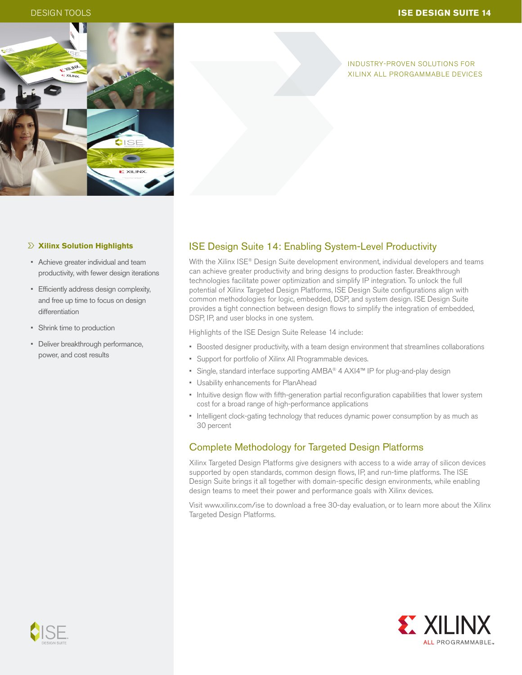

#### INDUSTRY-PROVEN SOLUTIONS FOR XILINX ALL PRORGAMMABLE DEVICES

#### **Xilinx Solution Highlights**

- Achieve greater individual and team productivity, with fewer design iterations
- Efficiently address design complexity, and free up time to focus on design differentiation
- Shrink time to production
- Deliver breakthrough performance, power, and cost results

# ISE Design Suite 14: Enabling System-Level Productivity

With the Xilinx ISE® Design Suite development environment, individual developers and teams can achieve greater productivity and bring designs to production faster. Breakthrough technologies facilitate power optimization and simplify IP integration. To unlock the full potential of Xilinx Targeted Design Platforms, ISE Design Suite configurations align with common methodologies for logic, embedded, DSP, and system design. ISE Design Suite provides a tight connection between design flows to simplify the integration of embedded, DSP, IP, and user blocks in one system.

Highlights of the ISE Design Suite Release 14 include:

- Boosted designer productivity, with a team design environment that streamlines collaborations
- Support for portfolio of Xilinx All Programmable devices.
- Single, standard interface supporting AMBA® 4 AXI4™ IP for plug-and-play design
- Usability enhancements for PlanAhead
- Intuitive design flow with fifth-generation partial reconfiguration capabilities that lower system cost for a broad range of high-performance applications
- Intelligent clock-gating technology that reduces dynamic power consumption by as much as 30 percent

## Complete Methodology for Targeted Design Platforms

Xilinx Targeted Design Platforms give designers with access to a wide array of silicon devices supported by open standards, common design flows, IP, and run-time platforms. The ISE Design Suite brings it all together with domain-specific design environments, while enabling design teams to meet their power and performance goals with Xilinx devices.

Visit www.xilinx.com/ise to download a free 30-day evaluation, or to learn more about the Xilinx Targeted Design Platforms.